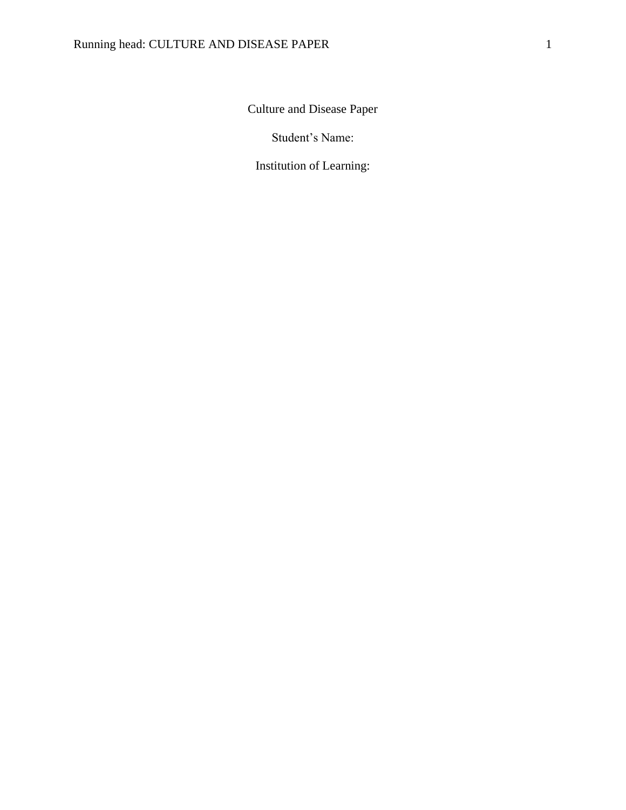Culture and Disease Paper

Student's Name:

Institution of Learning: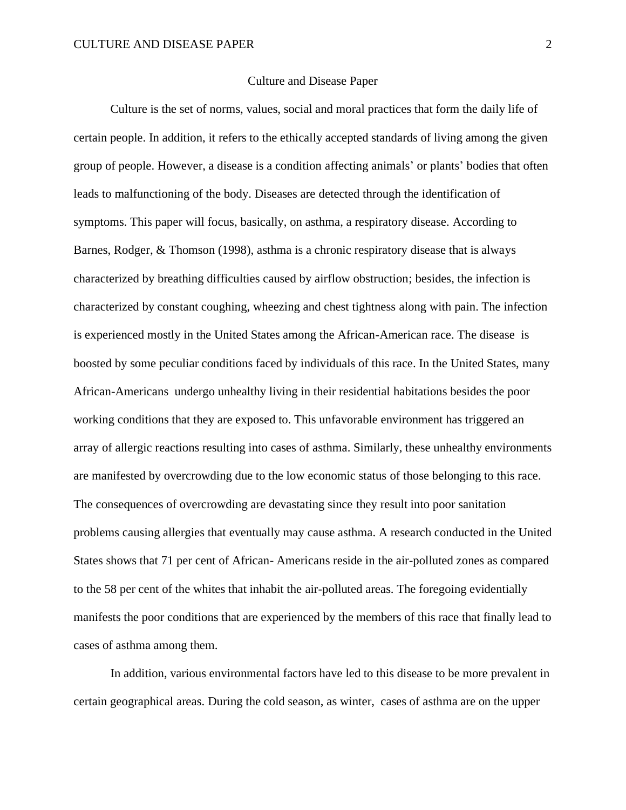## Culture and Disease Paper

Culture is the set of norms, values, social and moral practices that form the daily life of certain people. In addition, it refers to the ethically accepted standards of living among the given group of people. However, a disease is a condition affecting animals' or plants' bodies that often leads to malfunctioning of the body. Diseases are detected through the identification of symptoms. This paper will focus, basically, on asthma, a respiratory disease. According to Barnes, Rodger, & Thomson (1998), asthma is a chronic respiratory disease that is always characterized by breathing difficulties caused by airflow obstruction; besides, the infection is characterized by constant coughing, wheezing and chest tightness along with pain. The infection is experienced mostly in the United States among the African-American race. The disease is boosted by some peculiar conditions faced by individuals of this race. In the United States, many African-Americans undergo unhealthy living in their residential habitations besides the poor working conditions that they are exposed to. This unfavorable environment has triggered an array of allergic reactions resulting into cases of asthma. Similarly, these unhealthy environments are manifested by overcrowding due to the low economic status of those belonging to this race. The consequences of overcrowding are devastating since they result into poor sanitation problems causing allergies that eventually may cause asthma. A research conducted in the United States shows that 71 per cent of African- Americans reside in the air-polluted zones as compared to the 58 per cent of the whites that inhabit the air-polluted areas. The foregoing evidentially manifests the poor conditions that are experienced by the members of this race that finally lead to cases of asthma among them.

In addition, various environmental factors have led to this disease to be more prevalent in certain geographical areas. During the cold season, as winter, cases of asthma are on the upper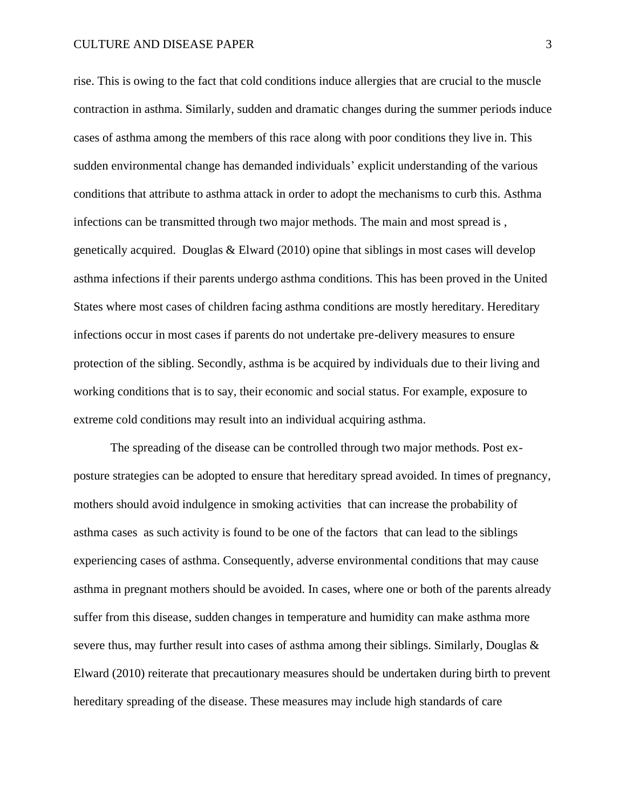## CULTURE AND DISEASE PAPER 3

rise. This is owing to the fact that cold conditions induce allergies that are crucial to the muscle contraction in asthma. Similarly, sudden and dramatic changes during the summer periods induce cases of asthma among the members of this race along with poor conditions they live in. This sudden environmental change has demanded individuals' explicit understanding of the various conditions that attribute to asthma attack in order to adopt the mechanisms to curb this. Asthma infections can be transmitted through two major methods. The main and most spread is , genetically acquired. Douglas & Elward (2010) opine that siblings in most cases will develop asthma infections if their parents undergo asthma conditions. This has been proved in the United States where most cases of children facing asthma conditions are mostly hereditary. Hereditary infections occur in most cases if parents do not undertake pre-delivery measures to ensure protection of the sibling. Secondly, asthma is be acquired by individuals due to their living and working conditions that is to say, their economic and social status. For example, exposure to extreme cold conditions may result into an individual acquiring asthma.

The spreading of the disease can be controlled through two major methods. Post exposture strategies can be adopted to ensure that hereditary spread avoided. In times of pregnancy, mothers should avoid indulgence in smoking activities that can increase the probability of asthma cases as such activity is found to be one of the factors that can lead to the siblings experiencing cases of asthma. Consequently, adverse environmental conditions that may cause asthma in pregnant mothers should be avoided. In cases, where one or both of the parents already suffer from this disease, sudden changes in temperature and humidity can make asthma more severe thus, may further result into cases of asthma among their siblings. Similarly, Douglas  $\&$ Elward (2010) reiterate that precautionary measures should be undertaken during birth to prevent hereditary spreading of the disease. These measures may include high standards of care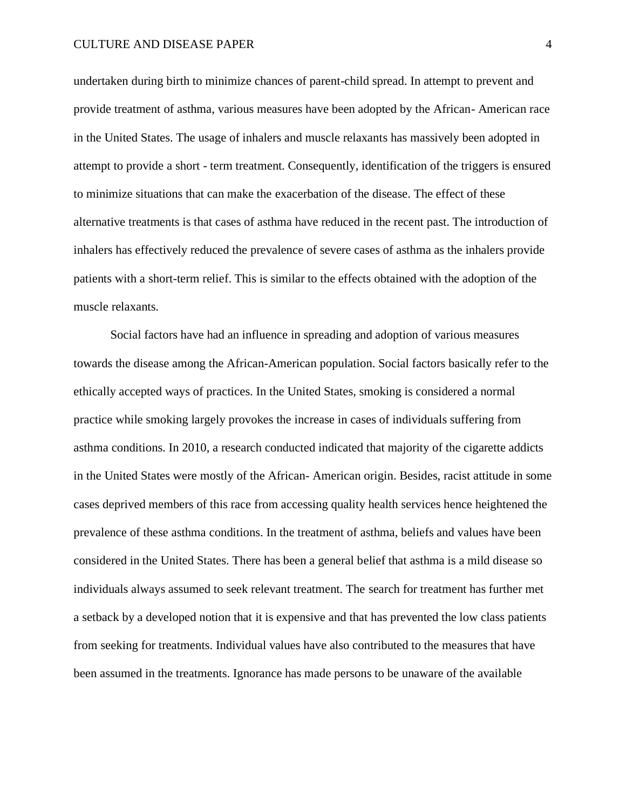## CULTURE AND DISEASE PAPER 4

undertaken during birth to minimize chances of parent-child spread. In attempt to prevent and provide treatment of asthma, various measures have been adopted by the African- American race in the United States. The usage of inhalers and muscle relaxants has massively been adopted in attempt to provide a short - term treatment. Consequently, identification of the triggers is ensured to minimize situations that can make the exacerbation of the disease. The effect of these alternative treatments is that cases of asthma have reduced in the recent past. The introduction of inhalers has effectively reduced the prevalence of severe cases of asthma as the inhalers provide patients with a short-term relief. This is similar to the effects obtained with the adoption of the muscle relaxants.

Social factors have had an influence in spreading and adoption of various measures towards the disease among the African-American population. Social factors basically refer to the ethically accepted ways of practices. In the United States, smoking is considered a normal practice while smoking largely provokes the increase in cases of individuals suffering from asthma conditions. In 2010, a research conducted indicated that majority of the cigarette addicts in the United States were mostly of the African- American origin. Besides, racist attitude in some cases deprived members of this race from accessing quality health services hence heightened the prevalence of these asthma conditions. In the treatment of asthma, beliefs and values have been considered in the United States. There has been a general belief that asthma is a mild disease so individuals always assumed to seek relevant treatment. The search for treatment has further met a setback by a developed notion that it is expensive and that has prevented the low class patients from seeking for treatments. Individual values have also contributed to the measures that have been assumed in the treatments. Ignorance has made persons to be unaware of the available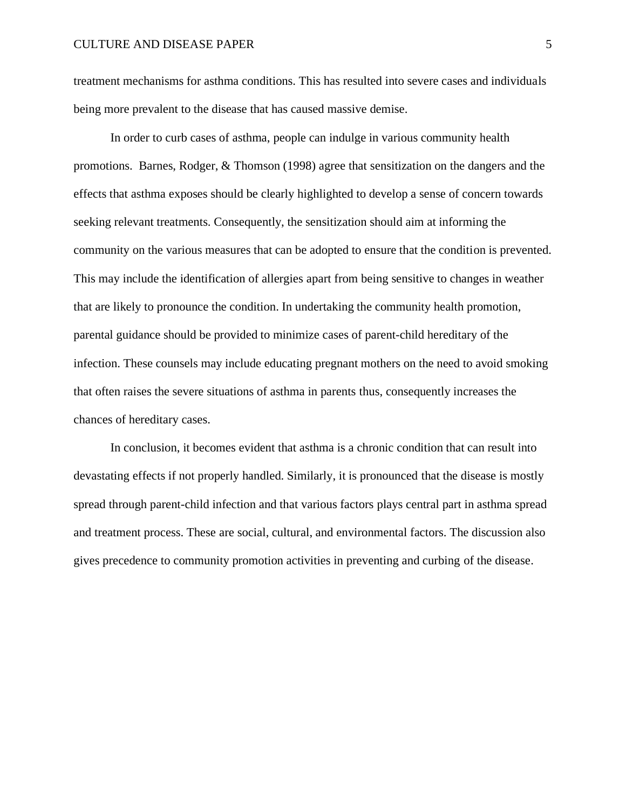treatment mechanisms for asthma conditions. This has resulted into severe cases and individuals being more prevalent to the disease that has caused massive demise.

In order to curb cases of asthma, people can indulge in various community health promotions. Barnes, Rodger, & Thomson (1998) agree that sensitization on the dangers and the effects that asthma exposes should be clearly highlighted to develop a sense of concern towards seeking relevant treatments. Consequently, the sensitization should aim at informing the community on the various measures that can be adopted to ensure that the condition is prevented. This may include the identification of allergies apart from being sensitive to changes in weather that are likely to pronounce the condition. In undertaking the community health promotion, parental guidance should be provided to minimize cases of parent-child hereditary of the infection. These counsels may include educating pregnant mothers on the need to avoid smoking that often raises the severe situations of asthma in parents thus, consequently increases the chances of hereditary cases.

In conclusion, it becomes evident that asthma is a chronic condition that can result into devastating effects if not properly handled. Similarly, it is pronounced that the disease is mostly spread through parent-child infection and that various factors plays central part in asthma spread and treatment process. These are social, cultural, and environmental factors. The discussion also gives precedence to community promotion activities in preventing and curbing of the disease.